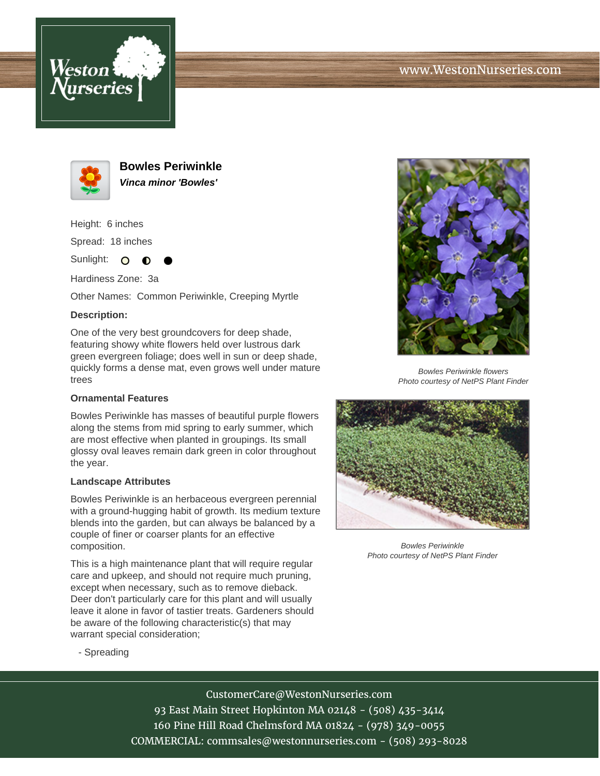





**Bowles Periwinkle Vinca minor 'Bowles'**

Height: 6 inches

Spread: 18 inches

Sunlight: O  $\bullet$ 

Hardiness Zone: 3a

Other Names: Common Periwinkle, Creeping Myrtle

## **Description:**

One of the very best groundcovers for deep shade, featuring showy white flowers held over lustrous dark green evergreen foliage; does well in sun or deep shade, quickly forms a dense mat, even grows well under mature trees

## **Ornamental Features**

Bowles Periwinkle has masses of beautiful purple flowers along the stems from mid spring to early summer, which are most effective when planted in groupings. Its small glossy oval leaves remain dark green in color throughout the year.

## **Landscape Attributes**

Bowles Periwinkle is an herbaceous evergreen perennial with a ground-hugging habit of growth. Its medium texture blends into the garden, but can always be balanced by a couple of finer or coarser plants for an effective composition.

This is a high maintenance plant that will require regular care and upkeep, and should not require much pruning, except when necessary, such as to remove dieback. Deer don't particularly care for this plant and will usually leave it alone in favor of tastier treats. Gardeners should be aware of the following characteristic(s) that may warrant special consideration;



Bowles Periwinkle flowers Photo courtesy of NetPS Plant Finder



Bowles Periwinkle Photo courtesy of NetPS Plant Finder

- Spreading

CustomerCare@WestonNurseries.com

93 East Main Street Hopkinton MA 02148 - (508) 435-3414 160 Pine Hill Road Chelmsford MA 01824 - (978) 349-0055 COMMERCIAL: commsales@westonnurseries.com - (508) 293-8028